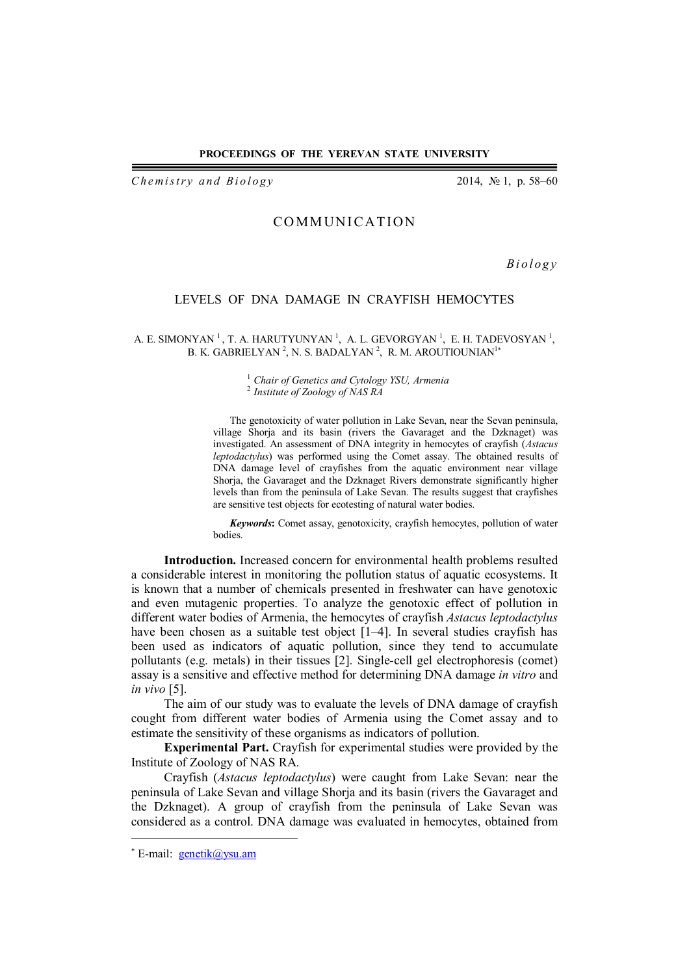## **PROCEEDINGS OF THE YEREVAN STATE UNIVERSITY**

*Chemistry and Biology* 2014, № 1, p. 58–60

## **COMMUNICATION**

*B i o l o g y*

## LEVELS OF DNA DAMAGE IN CRAYFISH HEMOCYTES

A. E. SIMONYAN<sup>1</sup>, T. A. HARUTYUNYAN<sup>1</sup>, A. L. GEVORGYAN<sup>1</sup>, E. H. TADEVOSYAN<sup>1</sup>, B. K. GABRIELYAN <sup>2</sup>, N. S. BADALYAN <sup>2</sup>, R. M. AROUTIOUNIAN<sup>1\*</sup>

> <sup>1</sup>*Chair of Genetics and Cytology YSU, Armenia* <sup>2</sup>*Institute of Zoology of NAS RA*

The genotoxicity of water pollution in Lake Sevan, near the Sevan peninsula, village Shorja and its basin (rivers the Gavaraget and the Dzknaget) was investigated. An assessment of DNA integrity in hemocytes of crayfish (*Astacus leptodactylus*) was performed using the Comet assay. The obtained results of DNA damage level of crayfishes from the aquatic environment near village Shorja, the Gavaraget and the Dzknaget Rivers demonstrate significantly higher levels than from the peninsula of Lake Sevan. The results suggest that crayfishes are sensitive test objects for ecotesting of natural water bodies.

*Keywords***:** Comet assay, genotoxicity, crayfish hemocytes, pollution of water bodies.

**Introduction.** Increased concern for environmental health problems resulted a considerable interest in monitoring the pollution status of aquatic ecosystems. It is known that a number of chemicals presented in freshwater can have genotoxic and even mutagenic properties. To analyze the genotoxic effect of pollution in different water bodies of Armenia, the hemocytes of crayfish *Astacus leptodactylus* have been chosen as a suitable test object [1–4]. In several studies crayfish has been used as indicators of aquatic pollution, since they tend to accumulate pollutants (e.g. metals) in their tissues [2]. Single-cell gel electrophoresis (comet) assay is a sensitive and effective method for determining DNA damage *in vitro* and *in vivo* [5].

The aim of our study was to evaluate the levels of DNA damage of crayfish cought from different water bodies of Armenia using the Comet assay and to estimate the sensitivity of these organisms as indicators of pollution.

**Experimental Part.** Crayfish for experimental studies were provided by the Institute of Zoology of NAS RA.

Crayfish (*Astacus leptodactylus*) were caught from Lake Sevan: near the peninsula of Lake Sevan and village Shorja and its basin (rivers the Gavaraget and the Dzknaget). A group of crayfish from the peninsula of Lake Sevan was considered as a control. DNA damage was evaluated in hemocytes, obtained from

 $\overline{a}$ 

<sup>\*</sup> E-mail: **genetik@ysu.am**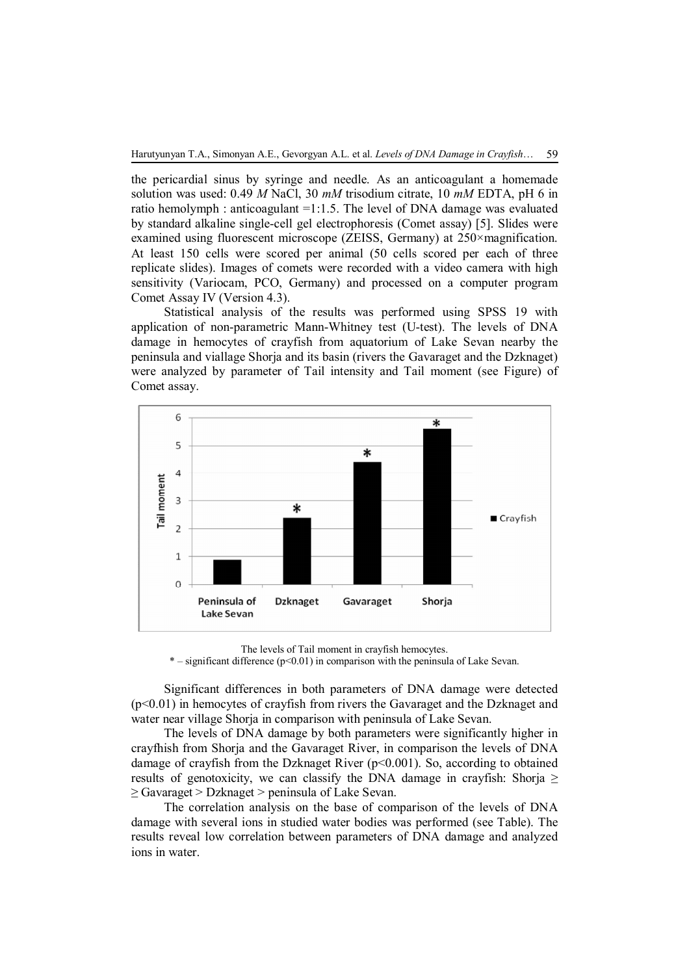the pericardial sinus by syringe and needle. As an anticoagulant a homemade solution was used: 0.49 *M* NaCl, 30 *mM* trisodium citrate, 10 *mM* EDTA, pH 6 in ratio hemolymph : anticoagulant =1:1.5. The level of DNA damage was evaluated by standard alkaline single-cell gel electrophoresis (Comet assay) [5]. Slides were examined using fluorescent microscope (ZEISS, Germany) at 250×magnification. At least 150 cells were scored per animal (50 cells scored per each of three replicate slides). Images of comets were recorded with a video camera with high sensitivity (Variocam, PCO, Germany) and processed on a computer program Comet Assay IV (Version 4.3).

Statistical analysis of the results was performed using SPSS 19 with application of non-parametric Mann-Whitney test (U-test). The levels of DNA damage in hemocytes of crayfish from aquatorium of Lake Sevan nearby the peninsula and viallage Shorja and its basin (rivers the Gavaraget and the Dzknaget) were analyzed by parameter of Tail intensity and Tail moment (see Figure) of Comet assay.



The levels of Tail moment in crayfish hemocytes.

 $*$  – significant difference ( $p<0.01$ ) in comparison with the peninsula of Lake Sevan.

Significant differences in both parameters of DNA damage were detected (p<0.01) in hemocytes of crayfish from rivers the Gavaraget and the Dzknaget and water near village Shorja in comparison with peninsula of Lake Sevan.

The levels of DNA damage by both parameters were significantly higher in crayfhish from Shorja and the Gavaraget River, in comparison the levels of DNA damage of crayfish from the Dzknaget River  $(p<0.001)$ . So, according to obtained results of genotoxicity, we can classify the DNA damage in crayfish: Shorja  $\geq$ ≥ Gavaraget > Dzknaget > peninsula of Lake Sevan.

The correlation analysis on the base of comparison of the levels of DNA damage with several ions in studied water bodies was performed (see Table). The results reveal low correlation between parameters of DNA damage and analyzed ions in water.